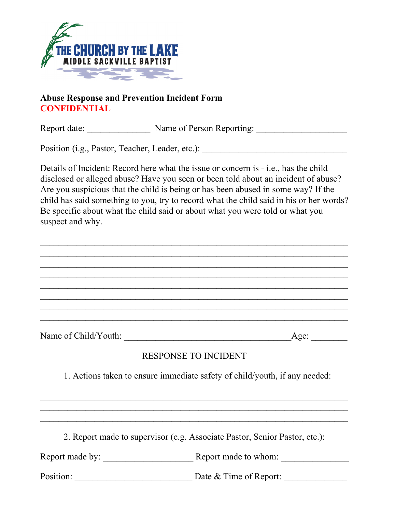

## **Abuse Response and Prevention Incident Form CONFIDENTIAL**

Report date: Name of Person Reporting:

Position (i.g., Pastor, Teacher, Leader, etc.):

Details of Incident: Record here what the issue or concern is - i.e., has the child disclosed or alleged abuse? Have you seen or been told about an incident of abuse? Are you suspicious that the child is being or has been abused in some way? If the child has said something to you, try to record what the child said in his or her words? Be specific about what the child said or about what you were told or what you suspect and why.

 $\mathcal{L}_\text{max}$  , and the contract of the contract of the contract of the contract of the contract of the contract of the contract of the contract of the contract of the contract of the contract of the contract of the contr  $\mathcal{L}_\text{max}$  , and the contract of the contract of the contract of the contract of the contract of the contract of the contract of the contract of the contract of the contract of the contract of the contract of the contr  $\mathcal{L}_\text{max}$  , and the contract of the contract of the contract of the contract of the contract of the contract of the contract of the contract of the contract of the contract of the contract of the contract of the contr  $\mathcal{L}_\text{max}$  , and the contract of the contract of the contract of the contract of the contract of the contract of the contract of the contract of the contract of the contract of the contract of the contract of the contr  $\mathcal{L}_\text{max}$  , and the contract of the contract of the contract of the contract of the contract of the contract of the contract of the contract of the contract of the contract of the contract of the contract of the contr  $\mathcal{L}_\text{max}$  , and the contract of the contract of the contract of the contract of the contract of the contract of the contract of the contract of the contract of the contract of the contract of the contract of the contr  $\mathcal{L}_\text{max}$  , and the contract of the contract of the contract of the contract of the contract of the contract of the contract of the contract of the contract of the contract of the contract of the contract of the contr  $\mathcal{L}_\text{max}$  , and the contract of the contract of the contract of the contract of the contract of the contract of the contract of the contract of the contract of the contract of the contract of the contract of the contr

Name of Child/Youth:  $\qquad \qquad \text{Age:}$ 

## RESPONSE TO INCIDENT

1. Actions taken to ensure immediate safety of child/youth, if any needed:

 $\mathcal{L}_\text{max}$  , and the contract of the contract of the contract of the contract of the contract of the contract of the contract of the contract of the contract of the contract of the contract of the contract of the contr  $\mathcal{L}_\text{max}$  , and the contract of the contract of the contract of the contract of the contract of the contract of the contract of the contract of the contract of the contract of the contract of the contract of the contr  $\mathcal{L}_\text{max}$  , and the contract of the contract of the contract of the contract of the contract of the contract of the contract of the contract of the contract of the contract of the contract of the contract of the contr

2. Report made to supervisor (e.g. Associate Pastor, Senior Pastor, etc.):

Report made by: \_\_\_\_\_\_\_\_\_\_\_\_\_\_\_\_\_\_\_\_ Report made to whom: \_\_\_\_\_\_\_\_\_\_\_\_\_\_\_

Position: \_\_\_\_\_\_\_\_\_\_\_\_\_\_\_\_\_\_\_\_\_\_\_\_\_\_ Date & Time of Report: \_\_\_\_\_\_\_\_\_\_\_\_\_\_